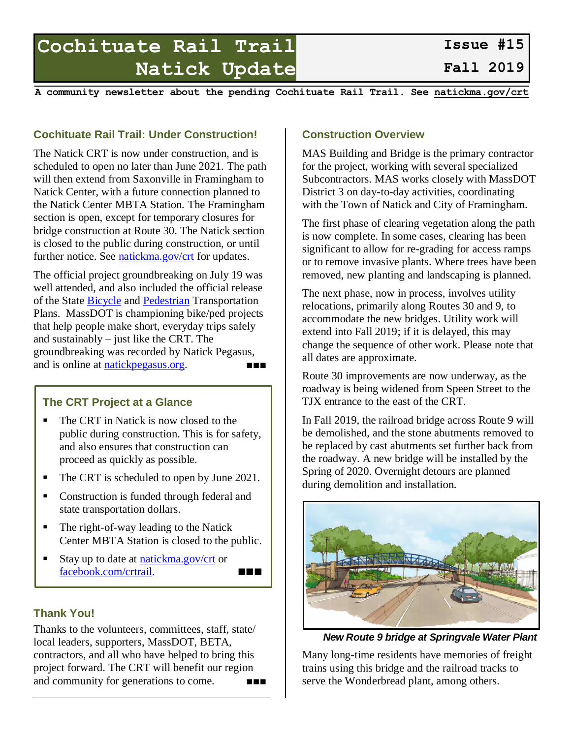# **Cochituate Rail Trail Natick Update**

**Fall 2019**

**A community newsletter about the pending Cochituate Rail Trail. See [natickma.gov/crt](https://www.natickma.gov/crt)**

## **Cochituate Rail Trail: Under Construction!**

The Natick CRT is now under construction, and is scheduled to open no later than June 2021. The path will then extend from Saxonville in Framingham to Natick Center, with a future connection planned to the Natick Center MBTA Station. The Framingham section is open, except for temporary closures for bridge construction at Route 30. The Natick section is closed to the public during construction, or until further notice. See [natickma.gov/crt](https://natickma.gov/crt) for updates.

The official project groundbreaking on July 19 was well attended, and also included the official release of the State [Bicycle](https://www.mass.gov/service-details/bicycle-plan) and [Pedestrian](https://www.mass.gov/service-details/pedestrian-plan) Transportation Plans. MassDOT is championing bike/ped projects that help people make short, everyday trips safely and sustainably – just like the CRT. The groundbreaking was recorded by Natick Pegasus, and is online at [natickpegasus.org.](https://natickpegasus.org/) ■■■

# **The CRT Project at a Glance**

- The CRT in Natick is now closed to the public during construction. This is for safety, and also ensures that construction can proceed as quickly as possible.
- The CRT is scheduled to open by June 2021.
- Construction is funded through federal and state transportation dollars.
- The right-of-way leading to the Natick Center MBTA Station is closed to the public.
- Stay up to date at [natickma.gov/crt](https://natickma.gov/crt) or [facebook.com/crtrail.](https://facebook.com/crtrail) ■■■

## **Thank You!**

Thanks to the volunteers, committees, staff, state/ local leaders, supporters, MassDOT, BETA, contractors, and all who have helped to bring this project forward. The CRT will benefit our region and community for generations to come. ■■■■

#### **Construction Overview**

MAS Building and Bridge is the primary contractor for the project, working with several specialized Subcontractors. MAS works closely with MassDOT District 3 on day-to-day activities, coordinating with the Town of Natick and City of Framingham.

The first phase of clearing vegetation along the path is now complete. In some cases, clearing has been significant to allow for re-grading for access ramps or to remove invasive plants. Where trees have been removed, new planting and landscaping is planned.

The next phase, now in process, involves utility relocations, primarily along Routes 30 and 9, to accommodate the new bridges. Utility work will extend into Fall 2019; if it is delayed, this may change the sequence of other work. Please note that all dates are approximate.

Route 30 improvements are now underway, as the roadway is being widened from Speen Street to the TJX entrance to the east of the CRT.

In Fall 2019, the railroad bridge across Route 9 will be demolished, and the stone abutments removed to be replaced by cast abutments set further back from the roadway. A new bridge will be installed by the Spring of 2020. Overnight detours are planned during demolition and installation.



*New Route 9 bridge at Springvale Water Plant*

Many long-time residents have memories of freight trains using this bridge and the railroad tracks to serve the Wonderbread plant, among others.